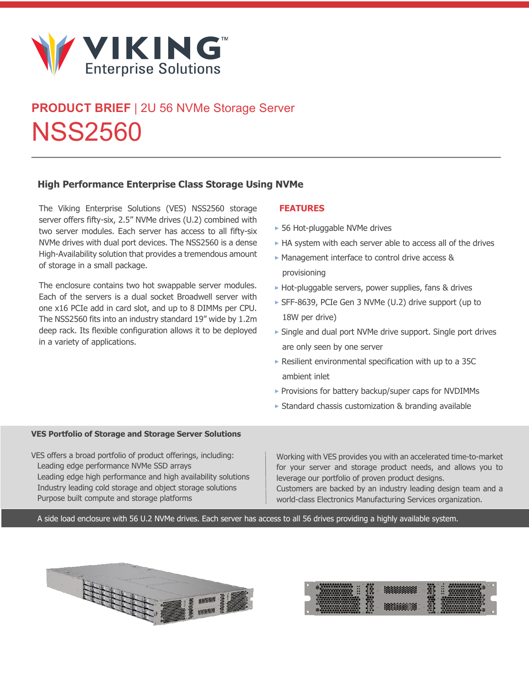

# **PRODUCT BRIEF** | 2U 56 NVMe Storage Server NSS2560

### **High Performance Enterprise Class Storage Using NVMe**

The Viking Enterprise Solutions (VES) NSS2560 storage server offers fifty-six, 2.5" NVMe drives (U.2) combined with two server modules. Each server has access to all fifty-six NVMe drives with dual port devices. The NSS2560 is a dense High-Availability solution that provides a tremendous amount of storage in a small package.

The enclosure contains two hot swappable server modules. Each of the servers is a dual socket Broadwell server with one x16 PCIe add in card slot, and up to 8 DIMMs per CPU. The NSS2560 fits into an industry standard 19" wide by 1.2m deep rack. Its flexible configuration allows it to be deployed in a variety of applications.

#### **FEATURES**

- **‣** 56 Hot-pluggable NVMe drives
- **‣** HA system with each server able to access all of the drives
- **‣** Management interface to control drive access & provisioning
- **‣** Hot-pluggable servers, power supplies, fans & drives
- **‣** SFF-8639, PCIe Gen 3 NVMe (U.2) drive support (up to 18W per drive)
- **‣** Single and dual port NVMe drive support. Single port drives are only seen by one server
- **‣** Resilient environmental specification with up to a 35C ambient inlet
- **‣** Provisions for battery backup/super caps for NVDIMMs
- **‣** Standard chassis customization & branding available

#### **VES Portfolio of Storage and Storage Server Solutions**

VES offers a broad portfolio of product offerings, including: Leading edge performance NVMe SSD arrays Leading edge high performance and high availability solutions Industry leading cold storage and object storage solutions Purpose built compute and storage platforms

Working with VES provides you with an accelerated time-to-market for your server and storage product needs, and allows you to leverage our portfolio of proven product designs.

Customers are backed by an industry leading design team and a world-class Electronics Manufacturing Services organization.

A side load enclosure with 56 U.2 NVMe drives. Each server has access to all 56 drives providing a highly available system.